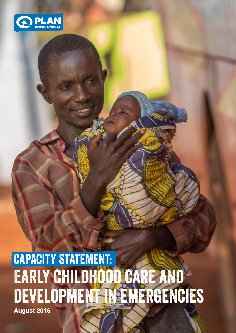

## CAPACITY STATEMENT: Early childhood care and development in emergencies **August 2016**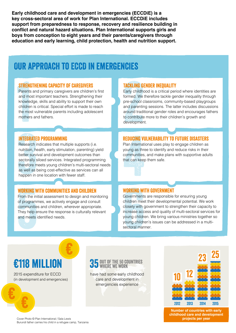**Early childhood care and development in emergencies (ECCDiE) is a key cross-sectoral area of work for Plan International. ECCDiE includes support from preparedness to response, recovery and resilience building in conflict and natural hazard situations. Plan International supports girls and boys from conception to eight years and their parents/caregivers through education and early learning, child protection, health and nutrition support.**

### Our approach to ECCD in emergencies

#### Strengthening Capacity of caregivers

**STRENG**<br>Parents<br>and mo<br>knowlee<br>children<br>the mos<br>mothers Parents and primary caregivers are children's first and most important teachers. Strengthening their knowledge, skills and ability to support their own children is critical. Special effort is made to reach the most vulnerable parents including adolescent mothers and fathers.

#### Tackling gender inequality

**TACKLING GI**<br>
Early childho<br>
formed. We<br>
pre-school c<br>
and parentir<br>
around tradi<br>
to contribute<br>
developmen Early childhood is a critical period where identities are formed. We therefore tackle gender inequality through pre-school classrooms, community-based playgroups and parenting sessions. The latter includes discussions around traditional gender roles and encourages fathers to contribute more to their children's growth and development.

#### Integrated programming

**INTEGRATE**<br>
Research in<br>
nutrition, he<br>
better survi<br>
sectorally s<br>
therefore m<br>
as well as k<br>
happen in ( Research indicates that multiple supports (i.e. nutrition, health, early stimulation, parenting) yield better survival and development outcomes than sectorally siloed services. Integrated programming therefore meets young children's multi-sectoral needs as well as being cost-effective as services can all happen in one location with fewer staff.

#### Working with communities and children

**WORKING W**<br>From the init of programm<br>communitie:<br>They help e<br>and meets i From the initial assessment to design and monitoring of programmes, we actively engage and consult communities and children, wherever appropriate. They help ensure the response is culturally relevant and meets identified needs.

#### Reducing vulnerability to future disasters

**REDUCING V**<br>Plan Internat<br>young as thr<br>communities<br>that can kee Plan International uses play to engage children as young as three to identify and reduce risks in their communities, and make plans with supportive adults that can keep them safe.



#### Working with government

**WORKING WI**<br>Governments<br>children mee<br>closely with <sub>S</sub><br>increase acc<br>young childre<br>sectoral man<br>sectoral man Governments are responsible for ensuring young children meet their developmental potential. We work closely with government to strengthen their capacity to increase access and quality of multi-sectoral services for young children. We bring various ministries together so young children's issues can be addressed in a multisectoral manner.

2015 expenditure for ECCD (in development and emergencies)

#### E118 MILLION 35 OUT OF THE 50 COUNTRIES WHERE WE WORK

have had some early childhood care and development in emergencies experience



**Number of countries with early childhood care and development projects per year**

Cover Photo © Plan International / Sala Lewis Burundi father carries his child in a refugee camp, Tanzania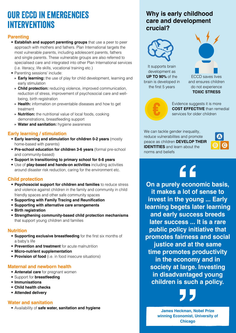## Our ECCD in emergencies interventions

#### **Parenting**

- **Establish and support parenting groups** that use a peer to peer approach with mothers and fathers. Plan International targets the most vulnerable parents, including adolescent parents, fathers and single parents. These vulnerable groups are also referred to specialised care and integrated into other Plan International services (i.e. literacy, life skills, vocational training etc.)
- Parenting sessions' include:
	- **» Early learning:** the use of play for child development, learning and early stimulation
	- **» Child protection:** reducing violence, improved communication, reduction of stress, improvement of psychosocial care and wellbeing, birth registration
	- **» Health:** information on preventable diseases and how to get treatment
	- **» Nutrition:** the nutritional value of local foods, cooking demonstrations, breastfeeding support
	- **» Water and sanitation:** hygiene awareness

#### **Early learning / stimulation**

- **Early learning and stimulation for children 0-2 years** (mostly home-based with parents)
- **Pre-school education for children 3-6 years** (formal pre-school and community-based)
- **Support in transitioning to primary school for 6-8 years**
- Use of **play-based and hands-on activities** including activities around disaster risk reduction, caring for the environment etc.

#### **Child protection**

- **Psychosocial support for children and families** to reduce stress and violence against children in the family and community in child friendly spaces and other safe community spaces
- **Supporting with Family Tracing and Reunification**
- **Supporting with alternative care arrangements**
- **Birth registration**
- **Strengthening community-based child protection mechanisms** that support young children and families

#### **Nutrition**

- **Supporting exclusive breastfeeding** for the first six months of a baby's life
- **Prevention and treatment** for acute malnutrition
- **Micro-nutrient supplementation**
- **Provision of food** (i.e. in food insecure situations)

#### **Maternal and newborn health**

- **Antenatal care** for pregnant women
- Support for **breastfeeding**
- **Immunisations**
- **Child health checks**
- **Attended delivery**

#### **Water and sanitation**

• Availability of **safe water, sanitation and hygiene**

### **Why is early childhood care and development crucial?**



It supports brain development as **UP TO 90%** of the brain is developed in the first 5 years



do not experience **TOXIC STRESS**



Evidence suggests it is more **COST EFFECTIVE** than remedial services for older children

We can tackle gender inequality, reduce vulnerabilites and promote peace as children **DEVELOP THEIR IDENTITIES** and learn about the norms and beliefs



# $66$

**On a purely economic basis, it makes a lot of sense to invest in the young ... Early learning begets later learning and early success breeds later success ... It is a rare public policy initiative that promotes fairness and social justice and at the same time promotes productivity in the economy and in society at large. Investing in disadvantaged young children is such a policy.**

**James Heckman, Nobel Prize winning Economist, University of Chicago**